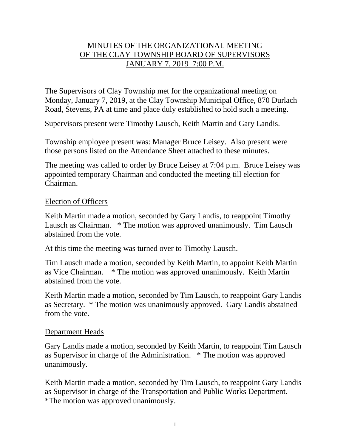# MINUTES OF THE ORGANIZATIONAL MEETING OF THE CLAY TOWNSHIP BOARD OF SUPERVISORS JANUARY 7, 2019 7:00 P.M.

The Supervisors of Clay Township met for the organizational meeting on Monday, January 7, 2019, at the Clay Township Municipal Office, 870 Durlach Road, Stevens, PA at time and place duly established to hold such a meeting.

Supervisors present were Timothy Lausch, Keith Martin and Gary Landis.

Township employee present was: Manager Bruce Leisey. Also present were those persons listed on the Attendance Sheet attached to these minutes.

The meeting was called to order by Bruce Leisey at 7:04 p.m. Bruce Leisey was appointed temporary Chairman and conducted the meeting till election for Chairman.

#### Election of Officers

Keith Martin made a motion, seconded by Gary Landis, to reappoint Timothy Lausch as Chairman. \* The motion was approved unanimously. Tim Lausch abstained from the vote.

At this time the meeting was turned over to Timothy Lausch.

Tim Lausch made a motion, seconded by Keith Martin, to appoint Keith Martin as Vice Chairman. \* The motion was approved unanimously. Keith Martin abstained from the vote.

Keith Martin made a motion, seconded by Tim Lausch, to reappoint Gary Landis as Secretary. \* The motion was unanimously approved. Gary Landis abstained from the vote.

#### Department Heads

Gary Landis made a motion, seconded by Keith Martin, to reappoint Tim Lausch as Supervisor in charge of the Administration. \* The motion was approved unanimously.

Keith Martin made a motion, seconded by Tim Lausch, to reappoint Gary Landis as Supervisor in charge of the Transportation and Public Works Department. \*The motion was approved unanimously.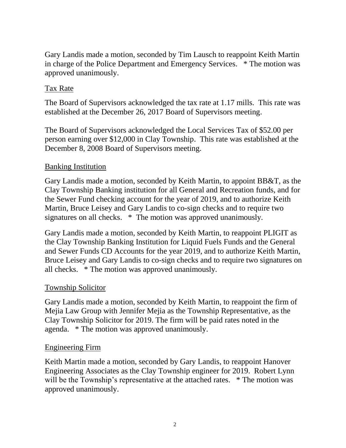Gary Landis made a motion, seconded by Tim Lausch to reappoint Keith Martin in charge of the Police Department and Emergency Services. \* The motion was approved unanimously.

# Tax Rate

The Board of Supervisors acknowledged the tax rate at 1.17 mills. This rate was established at the December 26, 2017 Board of Supervisors meeting.

The Board of Supervisors acknowledged the Local Services Tax of \$52.00 per person earning over \$12,000 in Clay Township. This rate was established at the December 8, 2008 Board of Supervisors meeting.

# Banking Institution

Gary Landis made a motion, seconded by Keith Martin, to appoint BB&T, as the Clay Township Banking institution for all General and Recreation funds, and for the Sewer Fund checking account for the year of 2019, and to authorize Keith Martin, Bruce Leisey and Gary Landis to co-sign checks and to require two signatures on all checks. \* The motion was approved unanimously.

Gary Landis made a motion, seconded by Keith Martin, to reappoint PLIGIT as the Clay Township Banking Institution for Liquid Fuels Funds and the General and Sewer Funds CD Accounts for the year 2019, and to authorize Keith Martin, Bruce Leisey and Gary Landis to co-sign checks and to require two signatures on all checks. \* The motion was approved unanimously.

# Township Solicitor

Gary Landis made a motion, seconded by Keith Martin, to reappoint the firm of Mejia Law Group with Jennifer Mejia as the Township Representative, as the Clay Township Solicitor for 2019. The firm will be paid rates noted in the agenda. \* The motion was approved unanimously.

## Engineering Firm

Keith Martin made a motion, seconded by Gary Landis, to reappoint Hanover Engineering Associates as the Clay Township engineer for 2019. Robert Lynn will be the Township's representative at the attached rates. \* The motion was approved unanimously.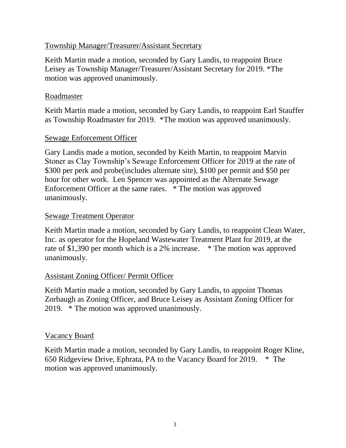## Township Manager/Treasurer/Assistant Secretary

Keith Martin made a motion, seconded by Gary Landis, to reappoint Bruce Leisey as Township Manager/Treasurer/Assistant Secretary for 2019. \*The motion was approved unanimously.

## Roadmaster

Keith Martin made a motion, seconded by Gary Landis, to reappoint Earl Stauffer as Township Roadmaster for 2019. \*The motion was approved unanimously.

## Sewage Enforcement Officer

Gary Landis made a motion, seconded by Keith Martin, to reappoint Marvin Stoner as Clay Township's Sewage Enforcement Officer for 2019 at the rate of \$300 per perk and probe(includes alternate site), \$100 per permit and \$50 per hour for other work. Len Spencer was appointed as the Alternate Sewage Enforcement Officer at the same rates. \* The motion was approved unanimously.

## Sewage Treatment Operator

Keith Martin made a motion, seconded by Gary Landis, to reappoint Clean Water, Inc. as operator for the Hopeland Wastewater Treatment Plant for 2019, at the rate of \$1,390 per month which is a 2% increase. \* The motion was approved unanimously.

# Assistant Zoning Officer/ Permit Officer

Keith Martin made a motion, seconded by Gary Landis, to appoint Thomas Zorbaugh as Zoning Officer, and Bruce Leisey as Assistant Zoning Officer for 2019. \* The motion was approved unanimously.

## Vacancy Board

Keith Martin made a motion, seconded by Gary Landis, to reappoint Roger Kline, 650 Ridgeview Drive, Ephrata, PA to the Vacancy Board for 2019. \* The motion was approved unanimously.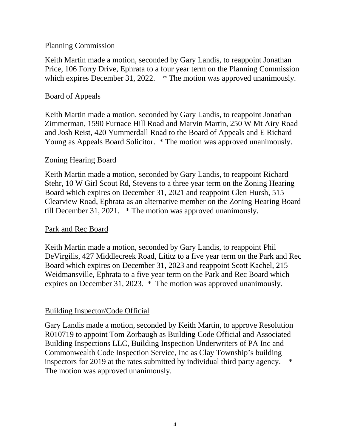#### Planning Commission

Keith Martin made a motion, seconded by Gary Landis, to reappoint Jonathan Price, 106 Forry Drive, Ephrata to a four year term on the Planning Commission which expires December 31, 2022. \* The motion was approved unanimously.

#### Board of Appeals

Keith Martin made a motion, seconded by Gary Landis, to reappoint Jonathan Zimmerman, 1590 Furnace Hill Road and Marvin Martin, 250 W Mt Airy Road and Josh Reist, 420 Yummerdall Road to the Board of Appeals and E Richard Young as Appeals Board Solicitor. \* The motion was approved unanimously.

## Zoning Hearing Board

Keith Martin made a motion, seconded by Gary Landis, to reappoint Richard Stehr, 10 W Girl Scout Rd, Stevens to a three year term on the Zoning Hearing Board which expires on December 31, 2021 and reappoint Glen Hursh, 515 Clearview Road, Ephrata as an alternative member on the Zoning Hearing Board till December 31, 2021. \* The motion was approved unanimously.

## Park and Rec Board

Keith Martin made a motion, seconded by Gary Landis, to reappoint Phil DeVirgilis, 427 Middlecreek Road, Lititz to a five year term on the Park and Rec Board which expires on December 31, 2023 and reappoint Scott Kachel, 215 Weidmansville, Ephrata to a five year term on the Park and Rec Board which expires on December 31, 2023. \* The motion was approved unanimously.

## Building Inspector/Code Official

Gary Landis made a motion, seconded by Keith Martin, to approve Resolution R010719 to appoint Tom Zorbaugh as Building Code Official and Associated Building Inspections LLC, Building Inspection Underwriters of PA Inc and Commonwealth Code Inspection Service, Inc as Clay Township's building inspectors for 2019 at the rates submitted by individual third party agency. \* The motion was approved unanimously.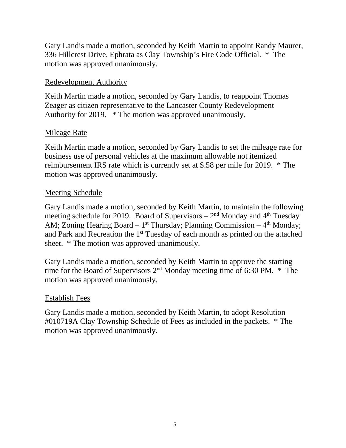Gary Landis made a motion, seconded by Keith Martin to appoint Randy Maurer, 336 Hillcrest Drive, Ephrata as Clay Township's Fire Code Official. \* The motion was approved unanimously.

# Redevelopment Authority

Keith Martin made a motion, seconded by Gary Landis, to reappoint Thomas Zeager as citizen representative to the Lancaster County Redevelopment Authority for 2019. \* The motion was approved unanimously.

## **Mileage Rate**

Keith Martin made a motion, seconded by Gary Landis to set the mileage rate for business use of personal vehicles at the maximum allowable not itemized reimbursement IRS rate which is currently set at \$.58 per mile for 2019. \* The motion was approved unanimously.

## Meeting Schedule

Gary Landis made a motion, seconded by Keith Martin, to maintain the following meeting schedule for 2019. Board of Supervisors  $-2<sup>nd</sup>$  Monday and  $4<sup>th</sup>$  Tuesday AM; Zoning Hearing Board  $-1^{st}$  Thursday; Planning Commission  $-4^{th}$  Monday; and Park and Recreation the 1<sup>st</sup> Tuesday of each month as printed on the attached sheet. \* The motion was approved unanimously.

Gary Landis made a motion, seconded by Keith Martin to approve the starting time for the Board of Supervisors  $2<sup>nd</sup>$  Monday meeting time of 6:30 PM.  $*$  The motion was approved unanimously.

## Establish Fees

Gary Landis made a motion, seconded by Keith Martin, to adopt Resolution #010719A Clay Township Schedule of Fees as included in the packets. \* The motion was approved unanimously.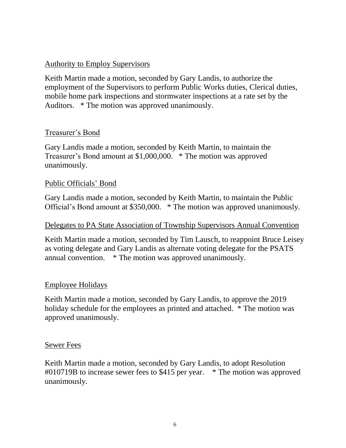## Authority to Employ Supervisors

Keith Martin made a motion, seconded by Gary Landis, to authorize the employment of the Supervisors to perform Public Works duties, Clerical duties, mobile home park inspections and stormwater inspections at a rate set by the Auditors. \* The motion was approved unanimously.

## Treasurer's Bond

Gary Landis made a motion, seconded by Keith Martin, to maintain the Treasurer's Bond amount at \$1,000,000. \* The motion was approved unanimously.

## Public Officials' Bond

Gary Landis made a motion, seconded by Keith Martin, to maintain the Public Official's Bond amount at \$350,000. \* The motion was approved unanimously.

#### Delegates to PA State Association of Township Supervisors Annual Convention

Keith Martin made a motion, seconded by Tim Lausch, to reappoint Bruce Leisey as voting delegate and Gary Landis as alternate voting delegate for the PSATS annual convention. \* The motion was approved unanimously.

#### Employee Holidays

Keith Martin made a motion, seconded by Gary Landis, to approve the 2019 holiday schedule for the employees as printed and attached. \* The motion was approved unanimously.

#### Sewer Fees

Keith Martin made a motion, seconded by Gary Landis, to adopt Resolution #010719B to increase sewer fees to \$415 per year. \* The motion was approved unanimously.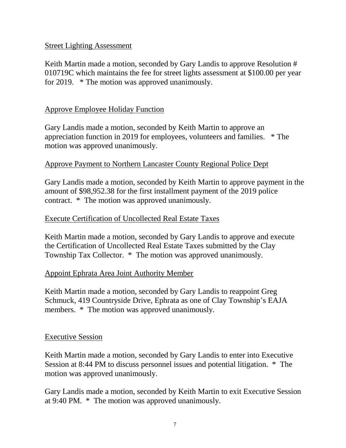## Street Lighting Assessment

Keith Martin made a motion, seconded by Gary Landis to approve Resolution # 010719C which maintains the fee for street lights assessment at \$100.00 per year for 2019. \* The motion was approved unanimously.

## Approve Employee Holiday Function

Gary Landis made a motion, seconded by Keith Martin to approve an appreciation function in 2019 for employees, volunteers and families. \* The motion was approved unanimously.

## Approve Payment to Northern Lancaster County Regional Police Dept

Gary Landis made a motion, seconded by Keith Martin to approve payment in the amount of \$98,952.38 for the first installment payment of the 2019 police contract. \* The motion was approved unanimously.

## Execute Certification of Uncollected Real Estate Taxes

Keith Martin made a motion, seconded by Gary Landis to approve and execute the Certification of Uncollected Real Estate Taxes submitted by the Clay Township Tax Collector. \* The motion was approved unanimously.

## Appoint Ephrata Area Joint Authority Member

Keith Martin made a motion, seconded by Gary Landis to reappoint Greg Schmuck, 419 Countryside Drive, Ephrata as one of Clay Township's EAJA members. \* The motion was approved unanimously.

## Executive Session

Keith Martin made a motion, seconded by Gary Landis to enter into Executive Session at 8:44 PM to discuss personnel issues and potential litigation. \* The motion was approved unanimously.

Gary Landis made a motion, seconded by Keith Martin to exit Executive Session at 9:40 PM. \* The motion was approved unanimously.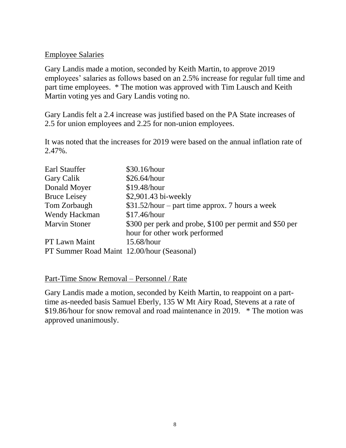## Employee Salaries

Gary Landis made a motion, seconded by Keith Martin, to approve 2019 employees' salaries as follows based on an 2.5% increase for regular full time and part time employees. \* The motion was approved with Tim Lausch and Keith Martin voting yes and Gary Landis voting no.

Gary Landis felt a 2.4 increase was justified based on the PA State increases of 2.5 for union employees and 2.25 for non-union employees.

It was noted that the increases for 2019 were based on the annual inflation rate of 2.47%.

| Earl Stauffer                              | \$30.16/hour                                            |
|--------------------------------------------|---------------------------------------------------------|
| Gary Calik                                 | \$26.64/hour                                            |
| Donald Moyer                               | \$19.48/hour                                            |
| <b>Bruce Leisey</b>                        | \$2,901.43 bi-weekly                                    |
| Tom Zorbaugh                               | $$31.52/hour$ – part time approx. 7 hours a week        |
| Wendy Hackman                              | \$17.46/hour                                            |
| <b>Marvin Stoner</b>                       | \$300 per perk and probe, \$100 per permit and \$50 per |
|                                            | hour for other work performed                           |
| PT Lawn Maint                              | 15.68/hour                                              |
| PT Summer Road Maint 12.00/hour (Seasonal) |                                                         |

Part-Time Snow Removal – Personnel / Rate

Gary Landis made a motion, seconded by Keith Martin, to reappoint on a parttime as-needed basis Samuel Eberly, 135 W Mt Airy Road, Stevens at a rate of \$19.86/hour for snow removal and road maintenance in 2019. \* The motion was approved unanimously.